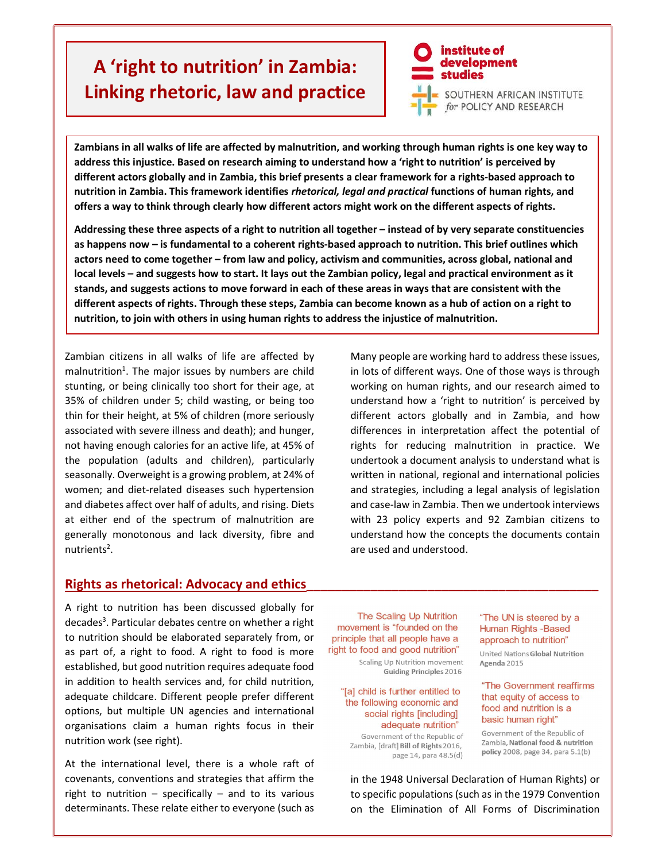# A 'right to nutrition' in Zambia: Linking rhetoric, law and practice



Zambians in all walks of life are affected by malnutrition, and working through human rights is one key way to address this injustice. Based on research aiming to understand how a 'right to nutrition' is perceived by different actors globally and in Zambia, this brief presents a clear framework for a rights-based approach to nutrition in Zambia. This framework identifies rhetorical, legal and practical functions of human rights, and offers a way to think through clearly how different actors might work on the different aspects of rights.

Addressing these three aspects of a right to nutrition all together – instead of by very separate constituencies as happens now – is fundamental to a coherent rights-based approach to nutrition. This brief outlines which actors need to come together – from law and policy, activism and communities, across global, national and local levels – and suggests how to start. It lays out the Zambian policy, legal and practical environment as it stands, and suggests actions to move forward in each of these areas in ways that are consistent with the different aspects of rights. Through these steps, Zambia can become known as a hub of action on a right to nutrition, to join with others in using human rights to address the injustice of malnutrition.

Zambian citizens in all walks of life are affected by malnutrition $<sup>1</sup>$ . The major issues by numbers are child</sup> stunting, or being clinically too short for their age, at 35% of children under 5; child wasting, or being too thin for their height, at 5% of children (more seriously associated with severe illness and death); and hunger, not having enough calories for an active life, at 45% of the population (adults and children), particularly seasonally. Overweight is a growing problem, at 24% of women; and diet-related diseases such hypertension and diabetes affect over half of adults, and rising. Diets at either end of the spectrum of malnutrition are generally monotonous and lack diversity, fibre and nutrients<sup>2</sup>.

Many people are working hard to address these issues, in lots of different ways. One of those ways is through working on human rights, and our research aimed to understand how a 'right to nutrition' is perceived by different actors globally and in Zambia, and how differences in interpretation affect the potential of rights for reducing malnutrition in practice. We undertook a document analysis to understand what is written in national, regional and international policies and strategies, including a legal analysis of legislation and case-law in Zambia. Then we undertook interviews with 23 policy experts and 92 Zambian citizens to understand how the concepts the documents contain are used and understood.

## Rights as rhetorical: Advocacy and ethics

A right to nutrition has been discussed globally for decades<sup>3</sup>. Particular debates centre on whether a right to nutrition should be elaborated separately from, or as part of, a right to food. A right to food is more established, but good nutrition requires adequate food in addition to health services and, for child nutrition, adequate childcare. Different people prefer different options, but multiple UN agencies and international organisations claim a human rights focus in their nutrition work (see right).

At the international level, there is a whole raft of covenants, conventions and strategies that affirm the right to nutrition  $-$  specifically  $-$  and to its various determinants. These relate either to everyone (such as

The Scaling Up Nutrition movement is "founded on the principle that all people have a right to food and good nutrition"

Scaling Up Nutrition movement **Guiding Principles 2016** 

#### "[a] child is further entitled to the following economic and social rights [including] adequate nutrition"

Government of the Republic of Zambia, [draft] Bill of Rights 2016, page 14, para 48.5(d) "The UN is steered by a **Human Rights -Based** approach to nutrition" United Nations Global Nutrition

Agenda 2015

#### "The Government reaffirms that equity of access to food and nutrition is a basic human right"

Government of the Republic of Zambia, National food & nutrition policy 2008, page 34, para 5.1(b)

in the 1948 Universal Declaration of Human Rights) or to specific populations (such as in the 1979 Convention on the Elimination of All Forms of Discrimination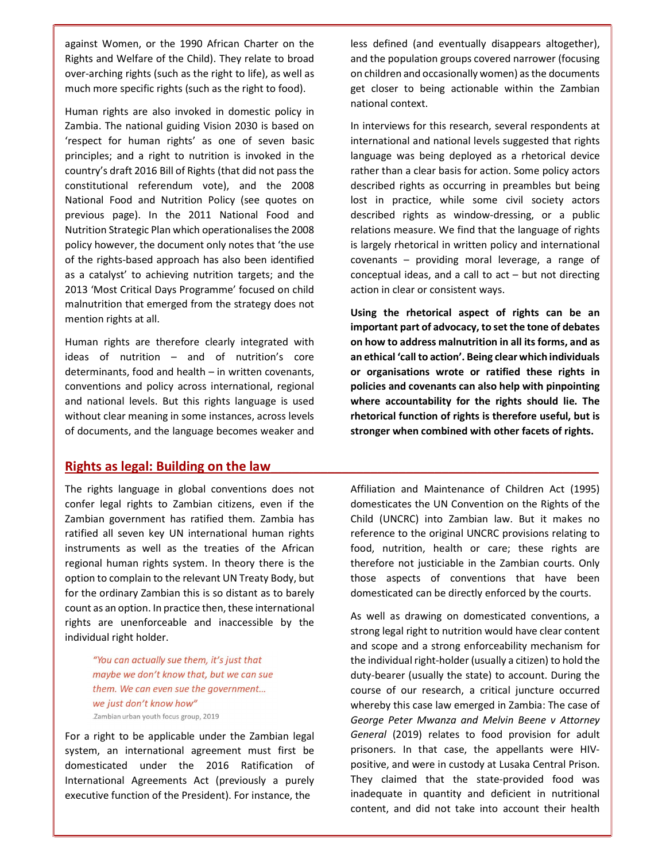against Women, or the 1990 African Charter on the Rights and Welfare of the Child). They relate to broad over-arching rights (such as the right to life), as well as much more specific rights (such as the right to food).

Human rights are also invoked in domestic policy in Zambia. The national guiding Vision 2030 is based on 'respect for human rights' as one of seven basic principles; and a right to nutrition is invoked in the country's draft 2016 Bill of Rights (that did not pass the constitutional referendum vote), and the 2008 National Food and Nutrition Policy (see quotes on previous page). In the 2011 National Food and Nutrition Strategic Plan which operationalises the 2008 policy however, the document only notes that 'the use of the rights-based approach has also been identified as a catalyst' to achieving nutrition targets; and the 2013 'Most Critical Days Programme' focused on child malnutrition that emerged from the strategy does not mention rights at all.

Human rights are therefore clearly integrated with ideas of nutrition – and of nutrition's core determinants, food and health – in written covenants, conventions and policy across international, regional and national levels. But this rights language is used without clear meaning in some instances, across levels of documents, and the language becomes weaker and

## Rights as legal: Building on the law

The rights language in global conventions does not confer legal rights to Zambian citizens, even if the Zambian government has ratified them. Zambia has ratified all seven key UN international human rights instruments as well as the treaties of the African regional human rights system. In theory there is the option to complain to the relevant UN Treaty Body, but for the ordinary Zambian this is so distant as to barely count as an option. In practice then, these international rights are unenforceable and inaccessible by the individual right holder.

> "You can actually sue them, it's just that maybe we don't know that, but we can sue them. We can even sue the government... we just don't know how" .Zambian urban youth focus group, 2019

For a right to be applicable under the Zambian legal system, an international agreement must first be domesticated under the 2016 Ratification of International Agreements Act (previously a purely executive function of the President). For instance, the

less defined (and eventually disappears altogether), and the population groups covered narrower (focusing on children and occasionally women) as the documents get closer to being actionable within the Zambian national context.

In interviews for this research, several respondents at international and national levels suggested that rights language was being deployed as a rhetorical device rather than a clear basis for action. Some policy actors described rights as occurring in preambles but being lost in practice, while some civil society actors described rights as window-dressing, or a public relations measure. We find that the language of rights is largely rhetorical in written policy and international covenants – providing moral leverage, a range of conceptual ideas, and a call to act – but not directing action in clear or consistent ways.

Using the rhetorical aspect of rights can be an important part of advocacy, to set the tone of debates on how to address malnutrition in all its forms, and as an ethical 'call to action'. Being clear which individuals or organisations wrote or ratified these rights in policies and covenants can also help with pinpointing where accountability for the rights should lie. The rhetorical function of rights is therefore useful, but is stronger when combined with other facets of rights.

Affiliation and Maintenance of Children Act (1995) domesticates the UN Convention on the Rights of the Child (UNCRC) into Zambian law. But it makes no reference to the original UNCRC provisions relating to food, nutrition, health or care; these rights are therefore not justiciable in the Zambian courts. Only those aspects of conventions that have been domesticated can be directly enforced by the courts.

As well as drawing on domesticated conventions, a strong legal right to nutrition would have clear content and scope and a strong enforceability mechanism for the individual right-holder (usually a citizen) to hold the duty-bearer (usually the state) to account. During the course of our research, a critical juncture occurred whereby this case law emerged in Zambia: The case of George Peter Mwanza and Melvin Beene v Attorney General (2019) relates to food provision for adult prisoners. In that case, the appellants were HIVpositive, and were in custody at Lusaka Central Prison. They claimed that the state-provided food was inadequate in quantity and deficient in nutritional content, and did not take into account their health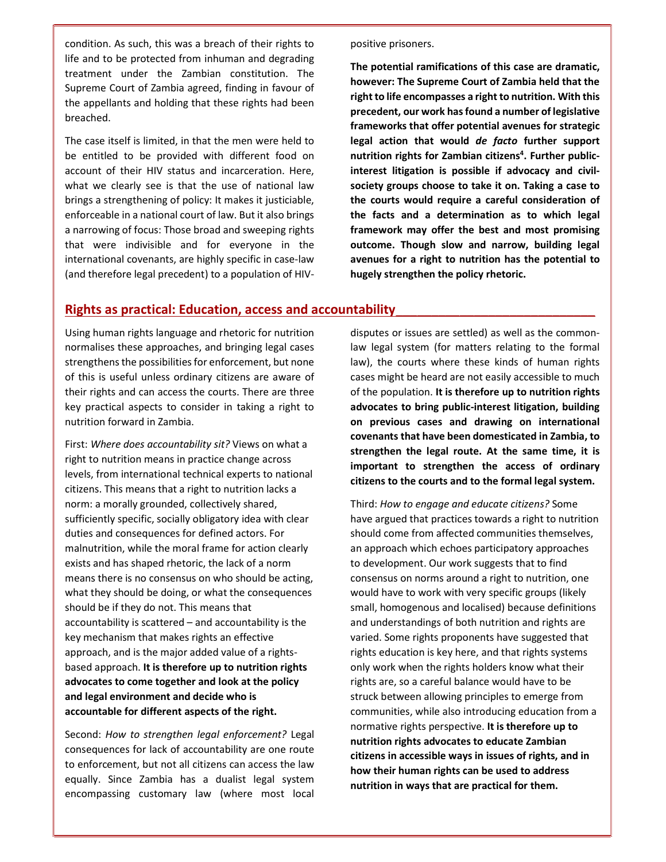condition. As such, this was a breach of their rights to life and to be protected from inhuman and degrading treatment under the Zambian constitution. The Supreme Court of Zambia agreed, finding in favour of the appellants and holding that these rights had been breached.

The case itself is limited, in that the men were held to be entitled to be provided with different food on account of their HIV status and incarceration. Here, what we clearly see is that the use of national law brings a strengthening of policy: It makes it justiciable, enforceable in a national court of law. But it also brings a narrowing of focus: Those broad and sweeping rights that were indivisible and for everyone in the international covenants, are highly specific in case-law (and therefore legal precedent) to a population of HIV- positive prisoners.

The potential ramifications of this case are dramatic, however: The Supreme Court of Zambia held that the right to life encompasses a right to nutrition. With this precedent, our work has found a number of legislative frameworks that offer potential avenues for strategic legal action that would de facto further support nutrition rights for Zambian citizens<sup>4</sup>. Further publicinterest litigation is possible if advocacy and civilsociety groups choose to take it on. Taking a case to the courts would require a careful consideration of the facts and a determination as to which legal framework may offer the best and most promising outcome. Though slow and narrow, building legal avenues for a right to nutrition has the potential to hugely strengthen the policy rhetoric.

## Rights as practical: Education, access and accountability

Using human rights language and rhetoric for nutrition normalises these approaches, and bringing legal cases strengthens the possibilities for enforcement, but none of this is useful unless ordinary citizens are aware of their rights and can access the courts. There are three key practical aspects to consider in taking a right to nutrition forward in Zambia.

First: Where does accountability sit? Views on what a right to nutrition means in practice change across levels, from international technical experts to national citizens. This means that a right to nutrition lacks a norm: a morally grounded, collectively shared, sufficiently specific, socially obligatory idea with clear duties and consequences for defined actors. For malnutrition, while the moral frame for action clearly exists and has shaped rhetoric, the lack of a norm means there is no consensus on who should be acting, what they should be doing, or what the consequences should be if they do not. This means that accountability is scattered – and accountability is the key mechanism that makes rights an effective approach, and is the major added value of a rightsbased approach. It is therefore up to nutrition rights advocates to come together and look at the policy and legal environment and decide who is accountable for different aspects of the right.

Second: How to strengthen legal enforcement? Legal consequences for lack of accountability are one route to enforcement, but not all citizens can access the law equally. Since Zambia has a dualist legal system encompassing customary law (where most local disputes or issues are settled) as well as the commonlaw legal system (for matters relating to the formal law), the courts where these kinds of human rights cases might be heard are not easily accessible to much of the population. It is therefore up to nutrition rights advocates to bring public-interest litigation, building on previous cases and drawing on international covenants that have been domesticated in Zambia, to strengthen the legal route. At the same time, it is important to strengthen the access of ordinary citizens to the courts and to the formal legal system.

Third: How to engage and educate citizens? Some have argued that practices towards a right to nutrition should come from affected communities themselves, an approach which echoes participatory approaches to development. Our work suggests that to find consensus on norms around a right to nutrition, one would have to work with very specific groups (likely small, homogenous and localised) because definitions and understandings of both nutrition and rights are varied. Some rights proponents have suggested that rights education is key here, and that rights systems only work when the rights holders know what their rights are, so a careful balance would have to be struck between allowing principles to emerge from communities, while also introducing education from a normative rights perspective. It is therefore up to nutrition rights advocates to educate Zambian citizens in accessible ways in issues of rights, and in how their human rights can be used to address nutrition in ways that are practical for them.